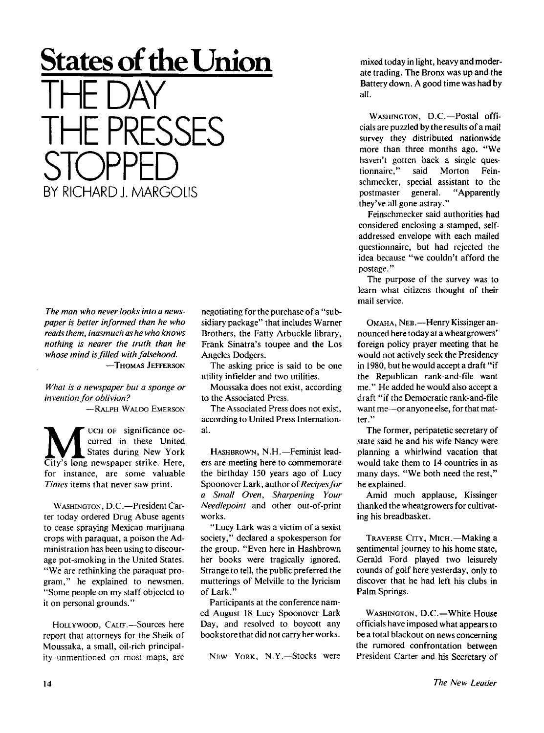## **States of the Union THE DAY THE PRESSES STOPPED**  BY RICHARD L MARGOLIS

*The man who never looks into a newspaper is better informed than he who reads them, inasmuch as he who knows nothing is nearer the truth than he whose mind is filled with falsehood.*  —THOMAS JEFFERSON

*What is a newspaper but a sponge or invention for oblivion?* 

-RALPH WALDO EMERSON

**M** UCH OF significance oc-<br>
States during New York<br>
City's long newspaper strike. Here, UCH OF significance occurred in these United States during New York for instance, are some valuable *Times* items that never saw print.

WASHINGTON, D.C.—President Carter today ordered Drug Abuse agents to cease spraying Mexican marijuana crops with paraquat, a poison the Administration has been using to discourage pot-smoking in the United States. "We are rethinking the paraquat program," he explained to newsmen. "Some people on my staff objected to it on personal grounds."

HOLLYWOOD, CALIF.—Sources here report that attorneys for the Sheik of Moussaka, a small, oil-rich principality unmentioned on most maps, are

negotiating for the purchase of a "subsidiary package" that includes Warner Brothers, the Fatty Arbuckle library, Frank Sinatra's toupee and the Los Angeles Dodgers.

The asking price is said to be one utility infielder and two utilities.

Moussaka does not exist, according to the Associated Press.

The Associated Press does not exist, according to United Press International.

HASHBROWN, N.H.—Feminist leaders are meeting here to commemorate the birthday 150 years ago of Lucy Spoonover Lark, author of *Recipesfor a Small Oven, Sharpening Your Needlepoint* and other out-of-print works.

"Lucy Lark was a victim of a sexist society," declared a spokesperson for the group. "Even here in Hashbrown her books were tragically ignored. Strange to tell, the public preferred the mutterings of Melville to the lyricism of Lark."

Participants at the conference named August 18 Lucy Spoonover Lark Day, and resolved to boycott any bookstore that did not carry her works.

New York, N.Y.-Stocks were

mixed today in light, heavy and moderate trading. The Bronx was up and the Battery down. A good time was had by all.

WASHINGTON, D.C.-Postal officials are puzzled by the results of a mail survey they distributed nationwide more than three months ago. "We haven't gotten back a single questionnaire," said Morton Feinschmecker, special assistant to the postmaster general. "Apparently they've all gone astray."

Feinschmecker said authorities had considered enclosing a stamped, selfaddressed envelope with each mailed questionnaire, but had rejected the idea because "we couldn't afford the postage."

The purpose of the survey was to learn what citizens thought of their mail service.

OMAHA, NEB.—Henry Kissinger announced here today at a wheatgrowers' foreign policy prayer meeting that he would not actively seek the Presidency in 1980, but he would accept a draft "if the Republican rank-and-file want me." He added he would also accept a draft "if the Democratic rank-and-file want me—or anyone else, for that matter."

The former, peripatetic secretary of state said he and his wife Nancy were planning a whirlwind vacation that would take them to 14 countries in as many days. "We both need the rest," he explained.

Amid much applause, Kissinger thanked the wheatgrowers for cultivating his breadbasket.

TRAVERSE CITY, MICH.—Making a sentimental journey to his home state, Gerald Ford played two leisurely rounds of golf here yesterday, only to discover that he had left his clubs in Palm Springs.

WASHINGTON, D.C—White House officials have imposed what appears to be a total blackout on news concerning the rumored confrontation between President Carter and his Secretary of